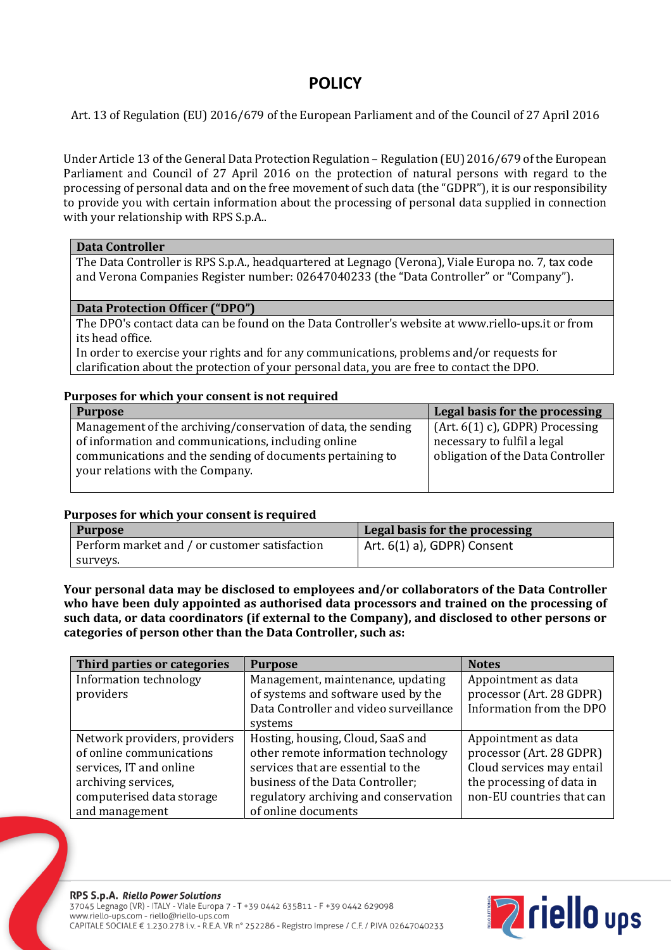# **POLICY**

Art. 13 of Regulation (EU) 2016/679 of the European Parliament and of the Council of 27 April 2016

Under Article 13 of the General Data Protection Regulation – Regulation (EU) 2016/679 of the European Parliament and Council of 27 April 2016 on the protection of natural persons with regard to the processing of personal data and on the free movement of such data (the "GDPR"), it is our responsibility to provide you with certain information about the processing of personal data supplied in connection with your relationship with RPS S.p.A..

### **Data Controller**

The Data Controller is RPS S.p.A., headquartered at Legnago (Verona), Viale Europa no. 7, tax code and Verona Companies Register number: 02647040233 (the "Data Controller" or "Company").

#### **Data Protection Officer ("DPO")**

The DPO's contact data can be found on the Data Controller's website at www.riello-ups.it or from its head office.

In order to exercise your rights and for any communications, problems and/or requests for clarification about the protection of your personal data, you are free to contact the DPO.

### **Purposes for which your consent is not required**

| <b>Purpose</b>                                                | Legal basis for the processing     |
|---------------------------------------------------------------|------------------------------------|
| Management of the archiving/conservation of data, the sending | $(Art. 6(1) c)$ , GDPR) Processing |
| of information and communications, including online           | necessary to fulfil a legal        |
| communications and the sending of documents pertaining to     | obligation of the Data Controller  |
| your relations with the Company.                              |                                    |
|                                                               |                                    |

## **Purposes for which your consent is required**

| <b>Purpose</b>                                | Legal basis for the processing |
|-----------------------------------------------|--------------------------------|
| Perform market and / or customer satisfaction | Art. 6(1) a), GDPR) Consent    |
| surveys.                                      |                                |

**Your personal data may be disclosed to employees and/or collaborators of the Data Controller who have been duly appointed as authorised data processors and trained on the processing of such data, or data coordinators (if external to the Company), and disclosed to other persons or categories of person other than the Data Controller, such as:**

| Third parties or categories  | <b>Purpose</b>                         | <b>Notes</b>              |
|------------------------------|----------------------------------------|---------------------------|
| Information technology       | Management, maintenance, updating      | Appointment as data       |
| providers                    | of systems and software used by the    | processor (Art. 28 GDPR)  |
|                              | Data Controller and video surveillance | Information from the DPO  |
|                              | systems                                |                           |
| Network providers, providers | Hosting, housing, Cloud, SaaS and      | Appointment as data       |
| of online communications     | other remote information technology    | processor (Art. 28 GDPR)  |
| services, IT and online      | services that are essential to the     | Cloud services may entail |
| archiving services,          | business of the Data Controller;       | the processing of data in |
| computerised data storage    | regulatory archiving and conservation  | non-EU countries that can |
| and management               | of online documents                    |                           |

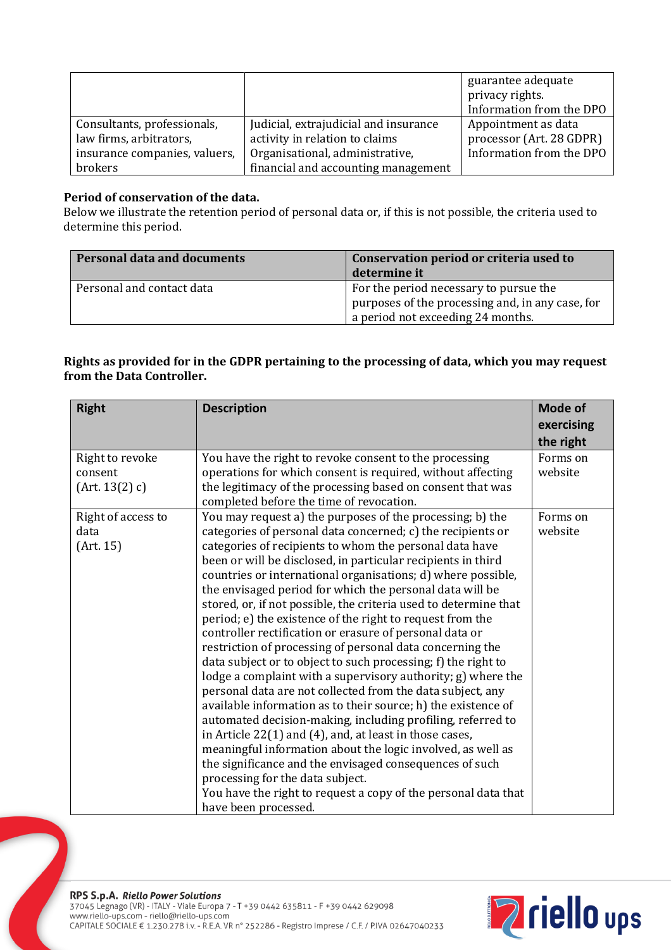|                               |                                       | guarantee adequate       |
|-------------------------------|---------------------------------------|--------------------------|
|                               |                                       | privacy rights.          |
|                               |                                       | Information from the DPO |
| Consultants, professionals,   | Judicial, extrajudicial and insurance | Appointment as data      |
| law firms, arbitrators,       | activity in relation to claims        | processor (Art. 28 GDPR) |
| insurance companies, valuers, | Organisational, administrative,       | Information from the DPO |
| brokers                       | financial and accounting management   |                          |

## **Period of conservation of the data.**

Below we illustrate the retention period of personal data or, if this is not possible, the criteria used to determine this period.

| <b>Personal data and documents</b> | Conservation period or criteria used to<br>determine it                                                                         |
|------------------------------------|---------------------------------------------------------------------------------------------------------------------------------|
| Personal and contact data          | For the period necessary to pursue the<br>purposes of the processing and, in any case, for<br>a period not exceeding 24 months. |

## **Rights as provided for in the GDPR pertaining to the processing of data, which you may request from the Data Controller.**

| <b>Right</b>                                 | <b>Description</b>                                                                                                                                                                                                                                                                                                                                                                                                                                                                                                                                                                                                                                                                                                                                                                                                                                                                                                                                                                                                                                                                                                                                                                                                                                                                         | Mode of                 |
|----------------------------------------------|--------------------------------------------------------------------------------------------------------------------------------------------------------------------------------------------------------------------------------------------------------------------------------------------------------------------------------------------------------------------------------------------------------------------------------------------------------------------------------------------------------------------------------------------------------------------------------------------------------------------------------------------------------------------------------------------------------------------------------------------------------------------------------------------------------------------------------------------------------------------------------------------------------------------------------------------------------------------------------------------------------------------------------------------------------------------------------------------------------------------------------------------------------------------------------------------------------------------------------------------------------------------------------------------|-------------------------|
|                                              |                                                                                                                                                                                                                                                                                                                                                                                                                                                                                                                                                                                                                                                                                                                                                                                                                                                                                                                                                                                                                                                                                                                                                                                                                                                                                            | exercising<br>the right |
| Right to revoke<br>consent<br>(Art. 13(2) c) | You have the right to revoke consent to the processing<br>operations for which consent is required, without affecting<br>the legitimacy of the processing based on consent that was<br>completed before the time of revocation.                                                                                                                                                                                                                                                                                                                                                                                                                                                                                                                                                                                                                                                                                                                                                                                                                                                                                                                                                                                                                                                            | Forms on<br>website     |
| Right of access to<br>data<br>(Art. 15)      | You may request a) the purposes of the processing; b) the<br>categories of personal data concerned; c) the recipients or<br>categories of recipients to whom the personal data have<br>been or will be disclosed, in particular recipients in third<br>countries or international organisations; d) where possible,<br>the envisaged period for which the personal data will be<br>stored, or, if not possible, the criteria used to determine that<br>period; e) the existence of the right to request from the<br>controller rectification or erasure of personal data or<br>restriction of processing of personal data concerning the<br>data subject or to object to such processing; f) the right to<br>lodge a complaint with a supervisory authority; g) where the<br>personal data are not collected from the data subject, any<br>available information as to their source; h) the existence of<br>automated decision-making, including profiling, referred to<br>in Article 22(1) and (4), and, at least in those cases,<br>meaningful information about the logic involved, as well as<br>the significance and the envisaged consequences of such<br>processing for the data subject.<br>You have the right to request a copy of the personal data that<br>have been processed. | Forms on<br>website     |

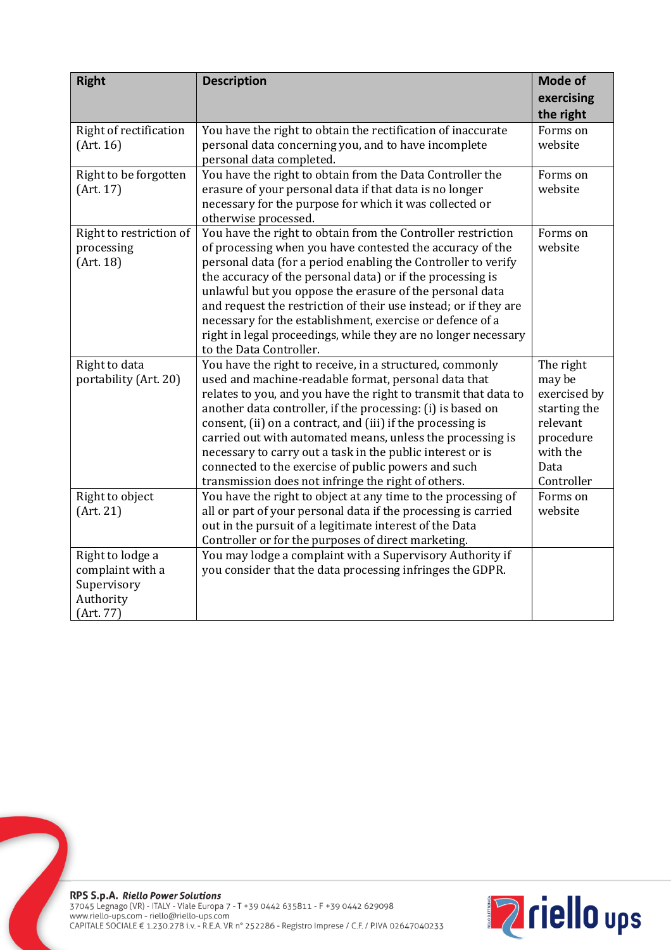| <b>Right</b>                                                                  | <b>Description</b>                                                                                                                                                                                                                                                                                                                                                                                                                                                                                                                                          | Mode of<br>exercising<br>the right                                                                             |
|-------------------------------------------------------------------------------|-------------------------------------------------------------------------------------------------------------------------------------------------------------------------------------------------------------------------------------------------------------------------------------------------------------------------------------------------------------------------------------------------------------------------------------------------------------------------------------------------------------------------------------------------------------|----------------------------------------------------------------------------------------------------------------|
| Right of rectification<br>(Art. 16)                                           | You have the right to obtain the rectification of inaccurate<br>personal data concerning you, and to have incomplete<br>personal data completed.                                                                                                                                                                                                                                                                                                                                                                                                            | Forms on<br>website                                                                                            |
| Right to be forgotten<br>(Art. 17)                                            | You have the right to obtain from the Data Controller the<br>erasure of your personal data if that data is no longer<br>necessary for the purpose for which it was collected or<br>otherwise processed.                                                                                                                                                                                                                                                                                                                                                     | Forms on<br>website                                                                                            |
| Right to restriction of<br>processing<br>(Art. 18)                            | You have the right to obtain from the Controller restriction<br>of processing when you have contested the accuracy of the<br>personal data (for a period enabling the Controller to verify<br>the accuracy of the personal data) or if the processing is<br>unlawful but you oppose the erasure of the personal data<br>and request the restriction of their use instead; or if they are<br>necessary for the establishment, exercise or defence of a<br>right in legal proceedings, while they are no longer necessary<br>to the Data Controller.          | Forms on<br>website                                                                                            |
| Right to data<br>portability (Art. 20)                                        | You have the right to receive, in a structured, commonly<br>used and machine-readable format, personal data that<br>relates to you, and you have the right to transmit that data to<br>another data controller, if the processing: (i) is based on<br>consent, (ii) on a contract, and (iii) if the processing is<br>carried out with automated means, unless the processing is<br>necessary to carry out a task in the public interest or is<br>connected to the exercise of public powers and such<br>transmission does not infringe the right of others. | The right<br>may be<br>exercised by<br>starting the<br>relevant<br>procedure<br>with the<br>Data<br>Controller |
| Right to object<br>(Art. 21)                                                  | You have the right to object at any time to the processing of<br>all or part of your personal data if the processing is carried<br>out in the pursuit of a legitimate interest of the Data<br>Controller or for the purposes of direct marketing.                                                                                                                                                                                                                                                                                                           | Forms on<br>website                                                                                            |
| Right to lodge a<br>complaint with a<br>Supervisory<br>Authority<br>(Art. 77) | You may lodge a complaint with a Supervisory Authority if<br>you consider that the data processing infringes the GDPR.                                                                                                                                                                                                                                                                                                                                                                                                                                      |                                                                                                                |